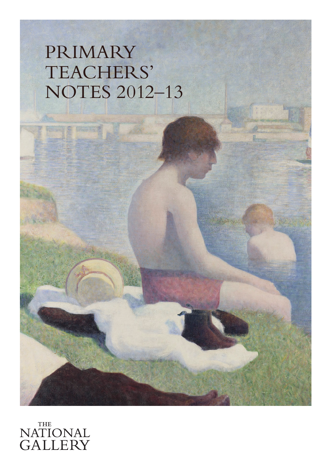# PRIMARY TEACHERS' NOTES 2012–13

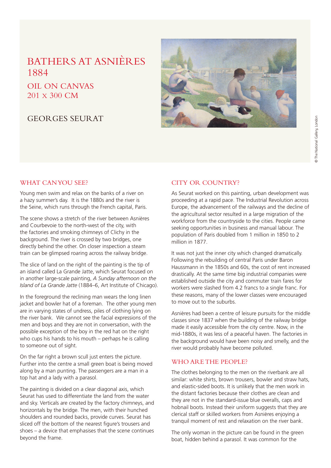## BATHERS AT ASNIÈRES 1884

### OIL ON CANVAS 201 X 300 CM

#### GEORGES SEURAT



#### WHAT CAN YOU SEE?

Young men swim and relax on the banks of a river on a hazy summer's day. It is the 1880s and the river is the Seine, which runs through the French capital, Paris.

The scene shows a stretch of the river between Asnières and Courbevoie to the north-west of the city, with the factories and smoking chimneys of Clichy in the background. The river is crossed by two bridges, one directly behind the other. On closer inspection a steam train can be glimpsed roaring across the railway bridge.

The slice of land on the right of the painting is the tip of an island called La Grande Jatte, which Seurat focused on in another large-scale painting, *A Sunday afternoon on the Island of La Grande Jatte* (1884–6, Art Institute of Chicago).

In the foreground the reclining man wears the long linen jacket and bowler hat of a foreman. The other young men are in varying states of undress, piles of clothing lying on the river bank. We cannot see the facial expressions of the men and boys and they are not in conversation, with the possible exception of the boy in the red hat on the right who cups his hands to his mouth – perhaps he is calling to someone out of sight.

On the far right a brown scull just enters the picture. Further into the centre a small green boat is being moved along by a man punting. The passengers are a man in a top hat and a lady with a parasol.

The painting is divided on a clear diagonal axis, which Seurat has used to differentiate the land from the water and sky. Verticals are created by the factory chimneys, and horizontals by the bridge. The men, with their hunched shoulders and rounded backs, provide curves. Seurat has sliced off the bottom of the nearest figure's trousers and shoes – a device that emphasises that the scene continues beyond the frame.

#### CITY OR COUNTRY?

As Seurat worked on this painting, urban development was proceeding at a rapid pace. The Industrial Revolution across Europe, the advancement of the railways and the decline of the agricultural sector resulted in a large migration of the workforce from the countryside to the cities. People came seeking opportunities in business and manual labour. The population of Paris doubled from 1 million in 1850 to 2 million in 1877.

It was not just the inner city which changed dramatically. Following the rebuilding of central Paris under Baron Haussmann in the 1850s and 60s, the cost of rent increased drastically. At the same time big industrial companies were established outside the city and commuter train fares for workers were slashed from 4.2 francs to a single franc. For these reasons, many of the lower classes were encouraged to move out to the suburbs.

Asnières had been a centre of leisure pursuits for the middle classes since 1837 when the building of the railway bridge made it easily accessible from the city centre. Now, in the mid-1880s, it was less of a peaceful haven. The factories in the background would have been noisy and smelly, and the river would probably have become polluted.

#### WHO ARE THE PEOPLE?

The clothes belonging to the men on the riverbank are all similar: white shirts, brown trousers, bowler and straw hats, and elastic-sided boots. It is unlikely that the men work in the distant factories because their clothes are clean and they are not in the standard-issue blue overalls, caps and hobnail boots. Instead their uniform suggests that they are clerical staff or skilled workers from Asnières enjoying a tranquil moment of rest and relaxation on the river bank.

The only woman in the picture can be found in the green boat, hidden behind a parasol. It was common for the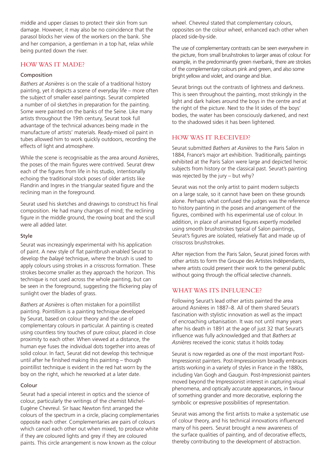middle and upper classes to protect their skin from sun damage. However, it may also be no coincidence that the parasol blocks her view of the workers on the bank. She and her companion, a gentleman in a top hat, relax while being punted down the river.

#### HOW WAS IT MADE?

#### Composition

*Bathers at Asnières* is on the scale of a traditional history painting, yet it depicts a scene of everyday life – more often the subject of smaller easel paintings. Seurat completed a number of oil sketches in preparation for the painting. Some were painted on the banks of the Seine. Like many artists throughout the 19th century, Seurat took full advantage of the technical advances being made in the manufacture of artists' materials. Ready-mixed oil paint in tubes allowed him to work quickly outdoors, recording the effects of light and atmosphere.

While the scene is recognisable as the area around Asnières, the poses of the main figures were contrived. Seurat drew each of the figures from life in his studio, intentionally echoing the traditional stock poses of older artists like Flandrin and Ingres in the triangular seated figure and the reclining man in the foreground.

Seurat used his sketches and drawings to construct his final composition. He had many changes of mind; the reclining figure in the middle ground, the rowing boat and the scull were all added later.

#### Style

Seurat was increasingly experimental with his application of paint. A new style of flat paintbrush enabled Seurat to develop the *balayé* technique, where the brush is used to apply colours using strokes in a crisscross formation. These strokes become smaller as they approach the horizon. This technique is not used across the whole painting, but can be seen in the foreground, suggesting the flickering play of sunlight over the blades of grass.

*Bathers at Asnières* is often mistaken for a pointillist painting. Pointillism is a painting technique developed by Seurat, based on colour theory and the use of complementary colours in particular. A painting is created using countless tiny touches of pure colour, placed in close proximity to each other. When viewed at a distance, the human eye fuses the individual dots together into areas of solid colour. In fact, Seurat did not develop this technique until after he finished making this painting – though pointillist technique is evident in the red hat worn by the boy on the right, which he reworked at a later date.

#### Colour

Seurat had a special interest in optics and the science of colour, particularly the writings of the chemist Michel-Eugène Chevreul. Sir Isaac Newton first arranged the colours of the spectrum in a circle, placing complementaries opposite each other. Complementaries are pairs of colours which cancel each other out when mixed, to produce white if they are coloured lights and grey if they are coloured paints. This circle arrangement is now known as the colour

wheel. Chevreul stated that complementary colours, opposites on the colour wheel, enhanced each other when placed side-by-side.

The use of complementary contrasts can be seen everywhere in the picture, from small brushstrokes to larger areas of colour. For example, in the predominantly green riverbank, there are strokes of the complementary colours pink and green, and also some bright yellow and violet, and orange and blue.

Seurat brings out the contrasts of lightness and darkness. This is seen throughout the painting, most strikingly in the light and dark haloes around the boys in the centre and at the right of the picture. Next to the lit sides of the boys' bodies, the water has been consciously darkened, and next to the shadowed sides it has been lightened.

#### HOW WAS IT RECEIVED?

Seurat submitted *Bathers at Asnières* to the Paris Salon in 1884, France's major art exhibition. Traditionally, paintings exhibited at the Paris Salon were large and depicted heroic subjects from history or the classical past. Seurat's painting was rejected by the jury – but why?

Seurat was not the only artist to paint modern subjects on a large scale, so it cannot have been on these grounds alone. Perhaps what confused the judges was the reference to history painting in the poses and arrangement of the figures, combined with his experimental use of colour. In addition, in place of animated figures expertly modelled using smooth brushstrokes typical of Salon paintings, Seurat's figures are isolated, relatively flat and made up of crisscross brushstrokes.

After rejection from the Paris Salon, Seurat joined forces with other artists to form the Groupe des Artistes Indépendants, where artists could present their work to the general public without going through the official selective channels.

#### WHAT WAS ITS INFLUENCE?

Following Seurat's lead other artists painted the area around Asnières in 1887–8. All of them shared Seurat's fascination with stylistic innovation as well as the impact of encroaching urbanisation. It was not until many years after his death in 1891 at the age of just 32 that Seurat's influence was fully acknowledged and that *Bathers at Asnières* received the iconic status it holds today.

Seurat is now regarded as one of the most important Post-Impressionist painters. Post-Impressionism broadly embraces artists working in a variety of styles in France in the 1880s, including Van Gogh and Gauguin. Post-Impressionist painters moved beyond the Impressionist interest in capturing visual phenomena, and optically accurate appearances, in favour of something grander and more decorative, exploring the symbolic or expressive possibilities of representation.

Seurat was among the first artists to make a systematic use of colour theory, and his technical innovations influenced many of his peers. Seurat brought a new awareness of the surface qualities of painting, and of decorative effects, thereby contributing to the development of abstraction.